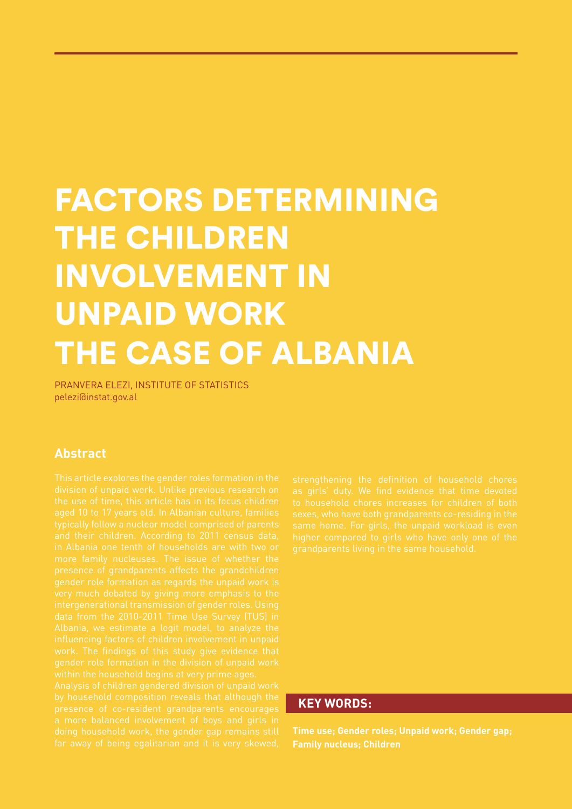# FACTORS DETERMINING THE CHILDREN INVOLVEMENT IN UNPAID WORK THE CASE OF ALBANIA

PRANVERA ELEZI, INSTITUTE OF STATISTICS pelezi@instat.gov.al

## **Abstract**

### **KEY WORDS:**

**Time use; Gender roles; Unpaid work; Gender gap; Family nucleus; Children**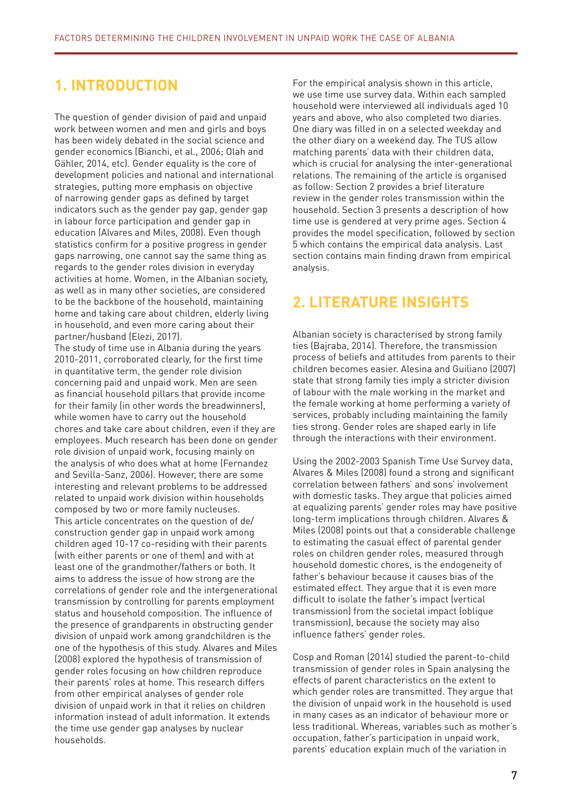## **1. INTRODUCTION**

The question of gender division of paid and unpaid work between women and men and girls and boys has been widely debated in the social science and gender economics (Bianchi, et al., 2006; Olah and Gähler, 2014, etc). Gender equality is the core of development policies and national and international strategies, putting more emphasis on objective of narrowing gender gaps as defined by target indicators such as the gender pay gap, gender gap in labour force participation and gender gap in education (Alvares and Miles, 2008). Even though statistics confirm for a positive progress in gender gaps narrowing, one cannot say the same thing as regards to the gender roles division in everyday activities at home. Women, in the Albanian society, as well as in many other societies, are considered to be the backbone of the household, maintaining home and taking care about children, elderly living in household, and even more caring about their partner/husband (Elezi, 2017).

The study of time use in Albania during the years 2010-2011, corroborated clearly, for the first time in quantitative term, the gender role division concerning paid and unpaid work. Men are seen as financial household pillars that provide income for their family (in other words the breadwinners), while women have to carry out the household chores and take care about children, even if they are employees. Much research has been done on gender role division of unpaid work, focusing mainly on the analysis of who does what at home (Fernandez and Sevilla-Sanz, 2006). However, there are some interesting and relevant problems to be addressed related to unpaid work division within households composed by two or more family nucleuses. This article concentrates on the question of de/ construction gender gap in unpaid work among children aged 10-17 co-residing with their parents (with either parents or one of them) and with at least one of the grandmother/fathers or both. It aims to address the issue of how strong are the correlations of gender role and the intergenerational transmission by controlling for parents employment status and household composition. The influence of the presence of grandparents in obstructing gender division of unpaid work among grandchildren is the one of the hypothesis of this study. Alvares and Miles (2008) explored the hypothesis of transmission of gender roles focusing on how children reproduce their parents' roles at home. This research differs from other empirical analyses of gender role division of unpaid work in that it relies on children information instead of adult information. It extends the time use gender gap analyses by nuclear households.

For the empirical analysis shown in this article, we use time use survey data. Within each sampled household were interviewed all individuals aged 10 years and above, who also completed two diaries. One diary was filled in on a selected weekday and the other diary on a weekend day. The TUS allow matching parents' data with their children data, which is crucial for analysing the inter-generational relations. The remaining of the article is organised as follow: Section 2 provides a brief literature review in the gender roles transmission within the household. Section 3 presents a description of how time use is gendered at very prime ages. Section 4 provides the model specification, followed by section 5 which contains the empirical data analysis. Last section contains main finding drawn from empirical analysis.

## **2. LITERATURE INSIGHTS**

Albanian society is characterised by strong family ties (Bajraba, 2014). Therefore, the transmission process of beliefs and attitudes from parents to their children becomes easier. Alesina and Guiliano (2007) state that strong family ties imply a stricter division of labour with the male working in the market and the female working at home performing a variety of services, probably including maintaining the family ties strong. Gender roles are shaped early in life through the interactions with their environment.

Using the 2002-2003 Spanish Time Use Survey data, Alvares & Miles (2008) found a strong and significant correlation between fathers' and sons' involvement with domestic tasks. They argue that policies aimed at equalizing parents' gender roles may have positive long-term implications through children. Alvares & Miles (2008) points out that a considerable challenge to estimating the casual effect of parental gender roles on children gender roles, measured through household domestic chores, is the endogeneity of father's behaviour because it causes bias of the estimated effect. They argue that it is even more difficult to isolate the father's impact (vertical transmission) from the societal impact (oblique transmission), because the society may also influence fathers' gender roles.

Cosp and Roman (2014) studied the parent-to-child transmission of gender roles in Spain analysing the effects of parent characteristics on the extent to which gender roles are transmitted. They argue that the division of unpaid work in the household is used in many cases as an indicator of behaviour more or less traditional. Whereas, variables such as mother's occupation, father's participation in unpaid work, parents' education explain much of the variation in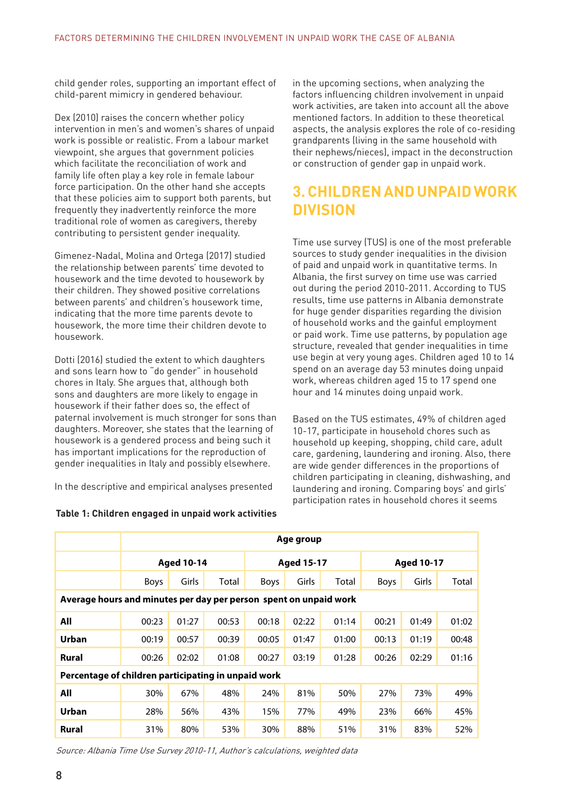child gender roles, supporting an important effect of child-parent mimicry in gendered behaviour.

Dex (2010) raises the concern whether policy intervention in men's and women's shares of unpaid work is possible or realistic. From a labour market viewpoint, she argues that government policies which facilitate the reconciliation of work and family life often play a key role in female labour force participation. On the other hand she accepts that these policies aim to support both parents, but frequently they inadvertently reinforce the more traditional role of women as caregivers, thereby contributing to persistent gender inequality.

Gimenez-Nadal, Molina and Ortega (2017) studied the relationship between parents' time devoted to housework and the time devoted to housework by their children. They showed positive correlations between parents' and children's housework time, indicating that the more time parents devote to housework, the more time their children devote to housework.

Dotti (2016) studied the extent to which daughters and sons learn how to "do gender" in household chores in Italy. She argues that, although both sons and daughters are more likely to engage in housework if their father does so, the effect of paternal involvement is much stronger for sons than daughters. Moreover, she states that the learning of housework is a gendered process and being such it has important implications for the reproduction of gender inequalities in Italy and possibly elsewhere.

In the descriptive and empirical analyses presented

#### **Table 1: Children engaged in unpaid work activities**

in the upcoming sections, when analyzing the factors influencing children involvement in unpaid work activities, are taken into account all the above mentioned factors. In addition to these theoretical aspects, the analysis explores the role of co-residing grandparents (living in the same household with their nephews/nieces), impact in the deconstruction or construction of gender gap in unpaid work.

## **3. CHILDREN AND UNPAID WORK DIVISION**

Time use survey (TUS) is one of the most preferable sources to study gender inequalities in the division of paid and unpaid work in quantitative terms. In Albania, the first survey on time use was carried out during the period 2010-2011. According to TUS results, time use patterns in Albania demonstrate for huge gender disparities regarding the division of household works and the gainful employment or paid work. Time use patterns, by population age structure, revealed that gender inequalities in time use begin at very young ages. Children aged 10 to 14 spend on an average day 53 minutes doing unpaid work, whereas children aged 15 to 17 spend one hour and 14 minutes doing unpaid work.

Based on the TUS estimates, 49% of children aged 10-17, participate in household chores such as household up keeping, shopping, child care, adult care, gardening, laundering and ironing. Also, there are wide gender differences in the proportions of children participating in cleaning, dishwashing, and laundering and ironing. Comparing boys' and girls' participation rates in household chores it seems

|                                                                   | Age group         |       |       |                   |       |       |                   |       |       |
|-------------------------------------------------------------------|-------------------|-------|-------|-------------------|-------|-------|-------------------|-------|-------|
|                                                                   | <b>Aged 10-14</b> |       |       | <b>Aged 15-17</b> |       |       | <b>Aged 10-17</b> |       |       |
|                                                                   | <b>Boys</b>       | Girls | Total | Boys              | Girls | Total | <b>Boys</b>       | Girls | Total |
| Average hours and minutes per day per person spent on unpaid work |                   |       |       |                   |       |       |                   |       |       |
| All                                                               | 00:23             | 01:27 | 00:53 | 00:18             | 02:22 | 01:14 | 00:21             | 01:49 | 01:02 |
| Urban                                                             | 00:19             | 00:57 | 00:39 | 00:05             | 01:47 | 01:00 | 00:13             | 01:19 | 00:48 |
| Rural                                                             | 00:26             | 02:02 | 01:08 | 00:27             | 03:19 | 01:28 | 00:26             | 02:29 | 01:16 |
| Percentage of children participating in unpaid work               |                   |       |       |                   |       |       |                   |       |       |
| All                                                               | 30%               | 67%   | 48%   | 24%               | 81%   | 50%   | 27%               | 73%   | 49%   |
| Urban                                                             | 28%               | 56%   | 43%   | 15%               | 77%   | 49%   | 23%               | 66%   | 45%   |
| Rural                                                             | 31%               | 80%   | 53%   | 30%               | 88%   | 51%   | 31%               | 83%   | 52%   |

Source: Albania Time Use Survey 2010-11, Author's calculations, weighted data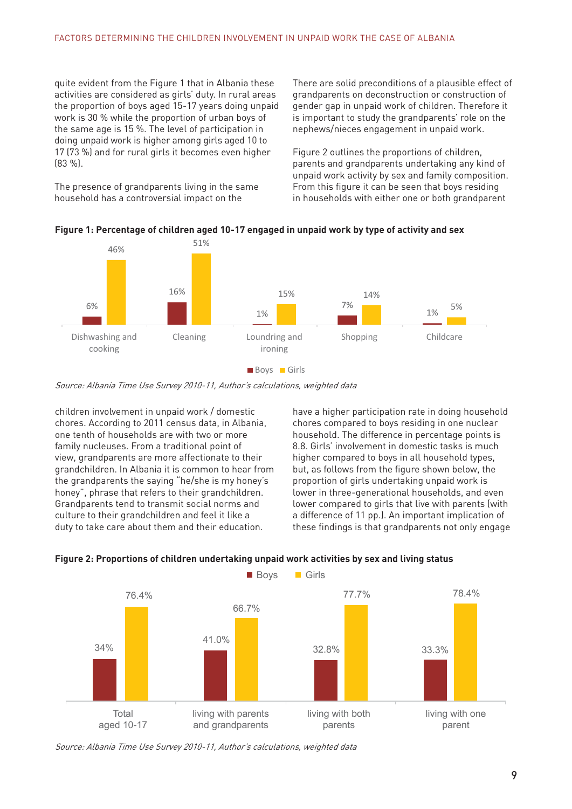quite evident from the Figure 1 that in Albania these activities are considered as girls' duty. In rural areas the proportion of boys aged 15-17 years doing unpaid work is 30 % while the proportion of urban boys of the same age is 15 %. The level of participation in doing unpaid work is higher among girls aged 10 to 17 (73 %) and for rural girls it becomes even higher (83 %).

The presence of grandparents living in the same household has a controversial impact on the

There are solid preconditions of a plausible effect of grandparents on deconstruction or construction of gender gap in unpaid work of children. Therefore it is important to study the grandparents' role on the nephews/nieces engagement in unpaid work.

Figure 2 outlines the proportions of children, parents and grandparents undertaking any kind of unpaid work activity by sex and family composition. From this figure it can be seen that boys residing in households with either one or both grandparent



#### **Figure 1: Percentage of children aged 10-17 engaged in unpaid work by type of activity and sex**



Source: Albania Time Use Survey 2010-11, Author's calculations, weighted data

children involvement in unpaid work / domestic chores. According to 2011 census data, in Albania, one tenth of households are with two or more family nucleuses. From a traditional point of view, grandparents are more affectionate to their grandchildren. In Albania it is common to hear from the grandparents the saying "he/she is my honey's honey", phrase that refers to their grandchildren. Grandparents tend to transmit social norms and culture to their grandchildren and feel it like a duty to take care about them and their education.

have a higher participation rate in doing household chores compared to boys residing in one nuclear household. The difference in percentage points is 8.8. Girls' involvement in domestic tasks is much higher compared to boys in all household types, but, as follows from the figure shown below, the proportion of girls undertaking unpaid work is lower in three-generational households, and even lower compared to girls that live with parents (with a difference of 11 pp.). An important implication of these findings is that grandparents not only engage



#### **Figure 2: Proportions of children undertaking unpaid work activities by sex and living status**

Source: Albania Time Use Survey 2010-11, Author's calculations, weighted data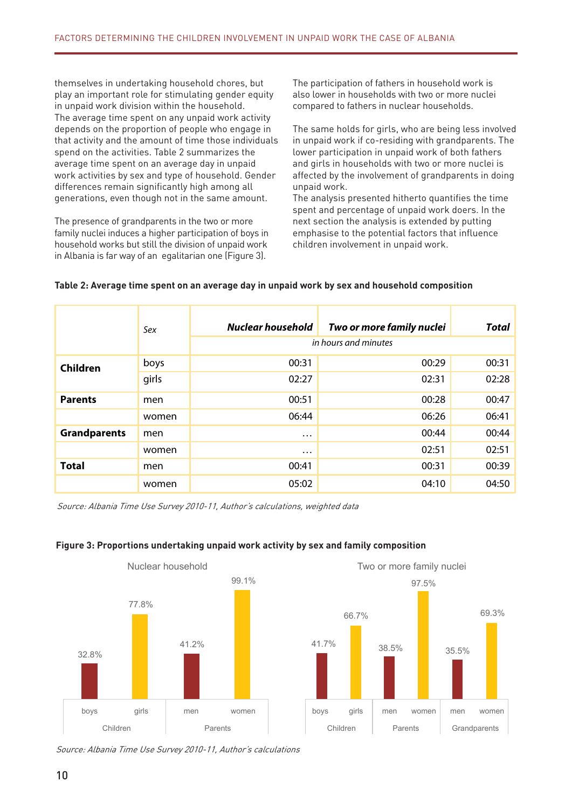themselves in undertaking household chores, but play an important role for stimulating gender equity in unpaid work division within the household. The average time spent on any unpaid work activity depends on the proportion of people who engage in that activity and the amount of time those individuals spend on the activities. Table 2 summarizes the average time spent on an average day in unpaid work activities by sex and type of household. Gender differences remain significantly high among all generations, even though not in the same amount.

The presence of grandparents in the two or more family nuclei induces a higher participation of boys in household works but still the division of unpaid work in Albania is far way of an egalitarian one (Figure 3).

The participation of fathers in household work is also lower in households with two or more nuclei compared to fathers in nuclear households.

The same holds for girls, who are being less involved in unpaid work if co-residing with grandparents. The lower participation in unpaid work of both fathers and girls in households with two or more nuclei is affected by the involvement of grandparents in doing unpaid work.

The analysis presented hitherto quantifies the time spent and percentage of unpaid work doers. In the next section the analysis is extended by putting emphasise to the potential factors that influence children involvement in unpaid work.

|                     | Sex   | Nuclear household | Two or more family nuclei<br>in hours and minutes | <b>Total</b> |
|---------------------|-------|-------------------|---------------------------------------------------|--------------|
| Children            | boys  | 00:31             | 00:29                                             | 00:31        |
|                     | girls | 02:27             | 02:31                                             | 02:28        |
| <b>Parents</b>      | men   | 00:51             | 00:28                                             | 00:47        |
|                     | women | 06:44             | 06:26                                             | 06:41        |
| <b>Grandparents</b> | men   | $\cdots$          | 00:44                                             | 00:44        |
|                     | women | $\cdots$          | 02:51                                             | 02:51        |
| <b>Total</b>        | men   | 00:41             | 00:31                                             | 00:39        |
|                     | women | 05:02             | 04:10                                             | 04:50        |

#### **Table 2: Average time spent on an average day in unpaid work by sex and household composition**

Source: Albania Time Use Survey 2010-11, Author's calculations, weighted data



#### **Figure 3: Proportions undertaking unpaid work activity by sex and family composition**

Source: Albania Time Use Survey 2010-11, Author's calculations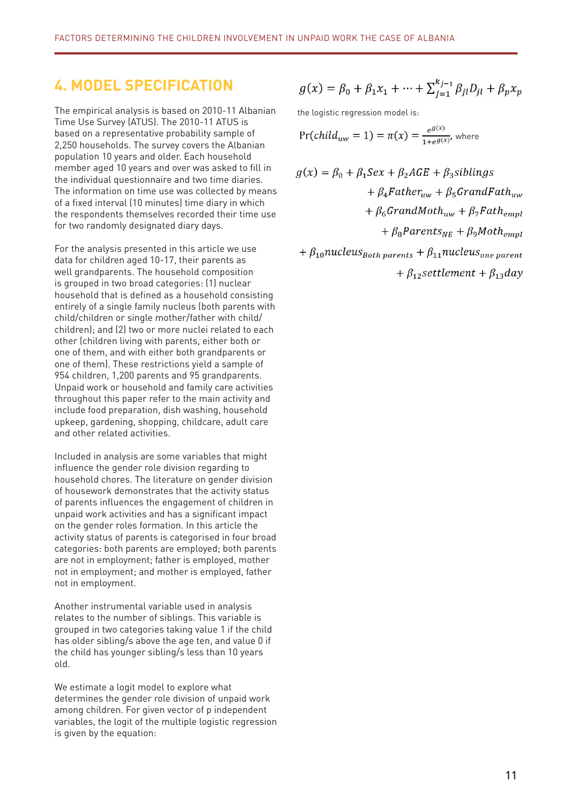## **4. MODEL SPECIFICATION**

The empirical analysis is based on 2010-11 Albanian Time Use Survey (ATUS). The 2010-11 ATUS is based on a representative probability sample of 2,250 households. The survey covers the Albanian population 10 years and older. Each household member aged 10 years and over was asked to fill in the individual questionnaire and two time diaries. The information on time use was collected by means of a fixed interval (10 minutes) time diary in which the respondents themselves recorded their time use for two randomly designated diary days.

For the analysis presented in this article we use data for children aged 10-17, their parents as well grandparents. The household composition is grouped in two broad categories: (1) nuclear household that is defined as a household consisting entirely of a single family nucleus (both parents with child/children or single mother/father with child/ children); and (2) two or more nuclei related to each other (children living with parents, either both or one of them, and with either both grandparents or one of them). These restrictions yield a sample of 954 children, 1,200 parents and 95 grandparents. Unpaid work or household and family care activities throughout this paper refer to the main activity and include food preparation, dish washing, household upkeep, gardening, shopping, childcare, adult care and other related activities.

Included in analysis are some variables that might influence the gender role division regarding to household chores. The literature on gender division of housework demonstrates that the activity status of parents influences the engagement of children in unpaid work activities and has a significant impact on the gender roles formation. In this article the activity status of parents is categorised in four broad categories: both parents are employed; both parents are not in employment; father is employed, mother not in employment; and mother is employed, father not in employment.

Another instrumental variable used in analysis relates to the number of siblings. This variable is grouped in two categories taking value 1 if the child has older sibling/s above the age ten, and value 0 if the child has younger sibling/s less than 10 years old.

We estimate a logit model to explore what determines the gender role division of unpaid work among children. For given vector of p independent variables, the logit of the multiple logistic regression is given by the equation:

$$
g(x) = \beta_0 + \beta_1 x_1 + \dots + \sum_{j=1}^{k_{j-1}} \beta_{jl} D_{jl} + \beta_p x_p
$$

the logistic regression model is:

$$
Pr(child_{uw}=1)=\pi(x)=\frac{e^{g(x)}}{1+e^{g(x)}}
$$
 where

$$
g(x) = \beta_0 + \beta_1 Sex + \beta_2AGE + \beta_3 siblings
$$
  
+  $\beta_4 Father_{uw} + \beta_5 GrandPath_{uw}$   
+  $\beta_6 GrandMoth_{uw} + \beta_7 Path_{empl}$   
+  $\beta_8 Parents_{NE} + \beta_9 Moth_{empl}$   
+  $\beta_{10} nucleus_{Both parents} + \beta_{11} nucleus_{one parent}$ 

 $+ \beta_{12}$ settlement +  $\beta_{13}$ day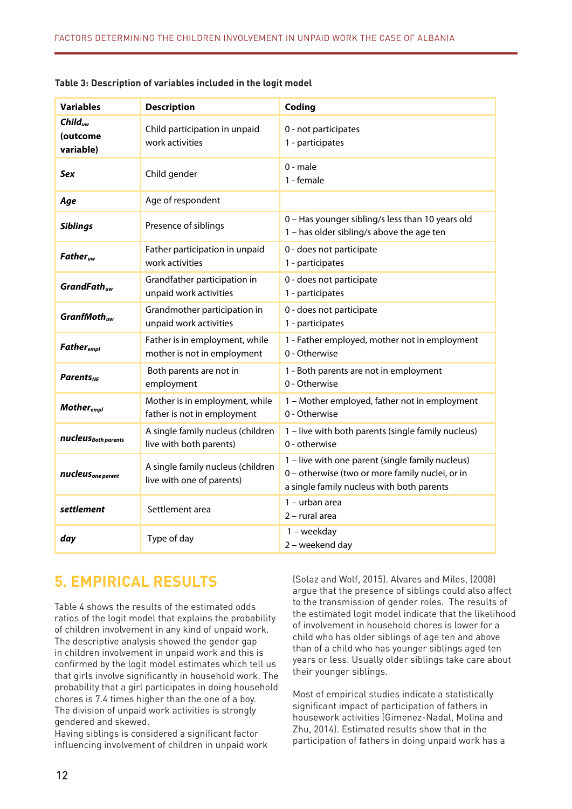| <b>Variables</b>                             | <b>Description</b>                                             | Coding                                                                                                                                           |
|----------------------------------------------|----------------------------------------------------------------|--------------------------------------------------------------------------------------------------------------------------------------------------|
| Child <sub>uw</sub><br>(outcome<br>variable) | Child participation in unpaid<br>work activities               | 0 - not participates<br>1 - participates                                                                                                         |
| Sex                                          | Child gender                                                   | $0 - male$<br>1 - female                                                                                                                         |
| Age                                          | Age of respondent                                              |                                                                                                                                                  |
| <b>Siblings</b>                              | Presence of siblings                                           | 0 - Has younger sibling/s less than 10 years old<br>1 - has older sibling/s above the age ten                                                    |
| <b>Father</b>                                | Father participation in unpaid<br>work activities              | 0 - does not participate<br>1 - participates                                                                                                     |
| GrandFath <sub>uw</sub>                      | Grandfather participation in<br>unpaid work activities         | 0 - does not participate<br>1 - participates                                                                                                     |
| GranfMoth <sub>uw</sub>                      | Grandmother participation in<br>unpaid work activities         | 0 - does not participate<br>1 - participates                                                                                                     |
| <b>Father</b> <sub>empl</sub>                | Father is in employment, while<br>mother is not in employment  | 1 - Father employed, mother not in employment<br>0 - Otherwise                                                                                   |
| <b>Parents</b> <sub>NF</sub>                 | Both parents are not in<br>employment                          | 1 - Both parents are not in employment<br>0 - Otherwise                                                                                          |
| <b>Mother</b> <sub>empl</sub>                | Mother is in employment, while<br>father is not in employment  | 1 - Mother employed, father not in employment<br>0 - Otherwise                                                                                   |
| nucleus Both parents                         | A single family nucleus (children<br>live with both parents)   | 1 - live with both parents (single family nucleus)<br>0 - otherwise                                                                              |
| nucleus <sub>one parent</sub>                | A single family nucleus (children<br>live with one of parents) | 1 - live with one parent (single family nucleus)<br>0 - otherwise (two or more family nuclei, or in<br>a single family nucleus with both parents |
| settlement                                   | Settlement area                                                | 1 - urban area<br>2 - rural area                                                                                                                 |
| day                                          | Type of day                                                    | 1 - weekday<br>2 - weekend day                                                                                                                   |

## **5. EMPIRICAL RESULTS**

Table 4 shows the results of the estimated odds ratios of the logit model that explains the probability of children involvement in any kind of unpaid work. The descriptive analysis showed the gender gap in children involvement in unpaid work and this is confirmed by the logit model estimates which tell us that girls involve significantly in household work. The probability that a girl participates in doing household chores is 7.4 times higher than the one of a boy. The division of unpaid work activities is strongly gendered and skewed.

Having siblings is considered a significant factor influencing involvement of children in unpaid work (Solaz and Wolf, 2015). Alvares and Miles, (2008) argue that the presence of siblings could also affect to the transmission of gender roles. The results of the estimated logit model indicate that the likelihood of involvement in household chores is lower for a child who has older siblings of age ten and above than of a child who has younger siblings aged ten years or less. Usually older siblings take care about their younger siblings.

Most of empirical studies indicate a statistically significant impact of participation of fathers in housework activities (Gimenez-Nadal, Molina and Zhu, 2014). Estimated results show that in the participation of fathers in doing unpaid work has a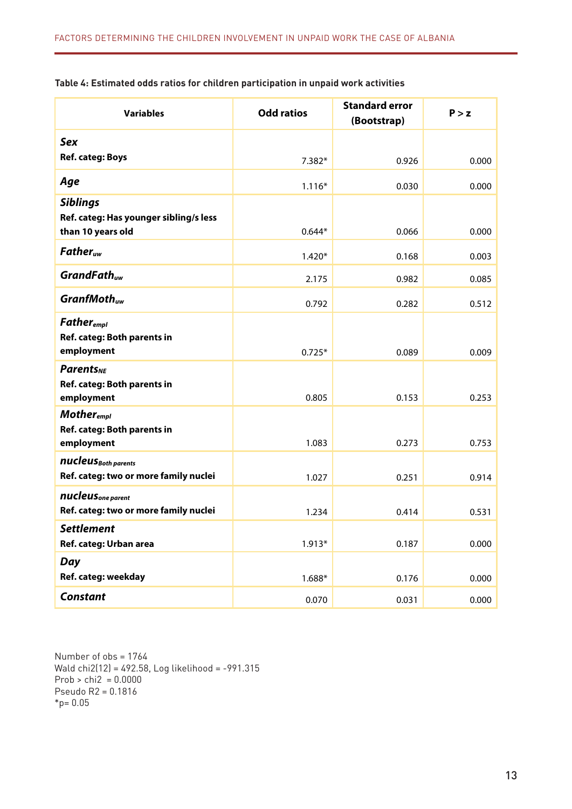| Table 4: Estimated odds ratios for children participation in unpaid work activities |  |  |
|-------------------------------------------------------------------------------------|--|--|
|-------------------------------------------------------------------------------------|--|--|

| <b>Variables</b>                                                           | <b>Odd ratios</b> | <b>Standard error</b><br>(Bootstrap) | P > z |
|----------------------------------------------------------------------------|-------------------|--------------------------------------|-------|
| <b>Sex</b>                                                                 |                   |                                      |       |
| <b>Ref. categ: Boys</b>                                                    | 7.382*            | 0.926                                | 0.000 |
| Age                                                                        | $1.116*$          | 0.030                                | 0.000 |
| <b>Siblings</b><br>Ref. categ: Has younger sibling/s less                  |                   |                                      |       |
| than 10 years old                                                          | $0.644*$          | 0.066                                | 0.000 |
| $Father_{uw}$                                                              | $1.420*$          | 0.168                                | 0.003 |
| GrandFath <sub>uw</sub>                                                    | 2.175             | 0.982                                | 0.085 |
| $GrantMothuw$                                                              | 0.792             | 0.282                                | 0.512 |
| <b>Father</b> <sub>empl</sub><br>Ref. categ: Both parents in<br>employment | $0.725*$          | 0.089                                | 0.009 |
| <b>Parents</b> <sub>NE</sub><br>Ref. categ: Both parents in<br>employment  | 0.805             | 0.153                                | 0.253 |
| <b>Mother</b> <sub>empl</sub><br>Ref. categ: Both parents in<br>employment | 1.083             | 0.273                                | 0.753 |
| nucleus Both parents<br>Ref. categ: two or more family nuclei              | 1.027             | 0.251                                | 0.914 |
| nucleus <sub>one parent</sub><br>Ref. categ: two or more family nuclei     | 1.234             | 0.414                                | 0.531 |
| <b>Settlement</b><br>Ref. categ: Urban area                                | $1.913*$          | 0.187                                | 0.000 |
| <b>Day</b><br>Ref. categ: weekday                                          | $1.688*$          | 0.176                                | 0.000 |
| <b>Constant</b>                                                            | 0.070             | 0.031                                | 0.000 |

Number of obs = 1764 Wald chi2(12) = 492.58, Log likelihood = -991.315 Prob  $>$  chi2 = 0.0000 Pseudo R2 = 0.1816  $*_{p= 0.05}$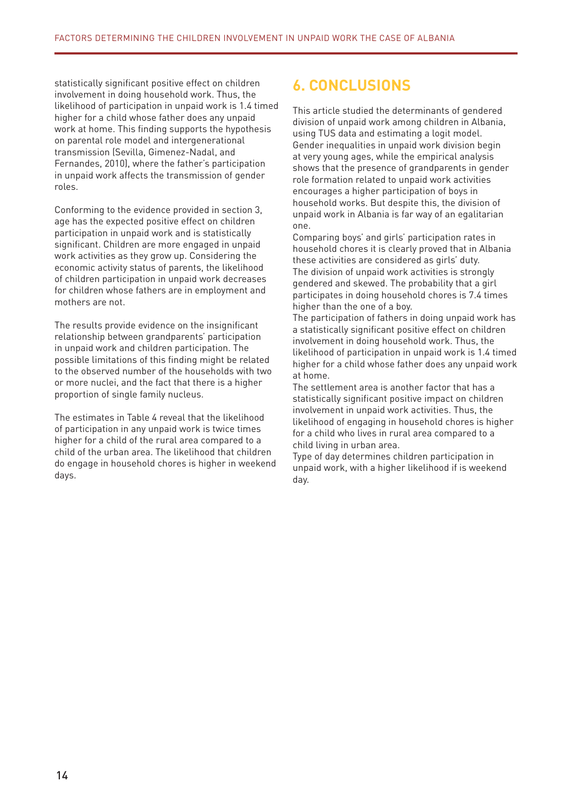statistically significant positive effect on children involvement in doing household work. Thus, the likelihood of participation in unpaid work is 1.4 timed higher for a child whose father does any unpaid work at home. This finding supports the hypothesis on parental role model and intergenerational transmission (Sevilla, Gimenez-Nadal, and Fernandes, 2010), where the father's participation in unpaid work affects the transmission of gender roles.

Conforming to the evidence provided in section 3, age has the expected positive effect on children participation in unpaid work and is statistically significant. Children are more engaged in unpaid work activities as they grow up. Considering the economic activity status of parents, the likelihood of children participation in unpaid work decreases for children whose fathers are in employment and mothers are not.

The results provide evidence on the insignificant relationship between grandparents' participation in unpaid work and children participation. The possible limitations of this finding might be related to the observed number of the households with two or more nuclei, and the fact that there is a higher proportion of single family nucleus.

The estimates in Table 4 reveal that the likelihood of participation in any unpaid work is twice times higher for a child of the rural area compared to a child of the urban area. The likelihood that children do engage in household chores is higher in weekend days.

# **6. CONCLUSIONS**

This article studied the determinants of gendered division of unpaid work among children in Albania, using TUS data and estimating a logit model. Gender inequalities in unpaid work division begin at very young ages, while the empirical analysis shows that the presence of grandparents in gender role formation related to unpaid work activities encourages a higher participation of boys in household works. But despite this, the division of unpaid work in Albania is far way of an egalitarian one.

Comparing boys' and girls' participation rates in household chores it is clearly proved that in Albania these activities are considered as girls' duty. The division of unpaid work activities is strongly gendered and skewed. The probability that a girl participates in doing household chores is 7.4 times higher than the one of a boy.

The participation of fathers in doing unpaid work has a statistically significant positive effect on children involvement in doing household work. Thus, the likelihood of participation in unpaid work is 1.4 timed higher for a child whose father does any unpaid work at home.

The settlement area is another factor that has a statistically significant positive impact on children involvement in unpaid work activities. Thus, the likelihood of engaging in household chores is higher for a child who lives in rural area compared to a child living in urban area.

Type of day determines children participation in unpaid work, with a higher likelihood if is weekend day.